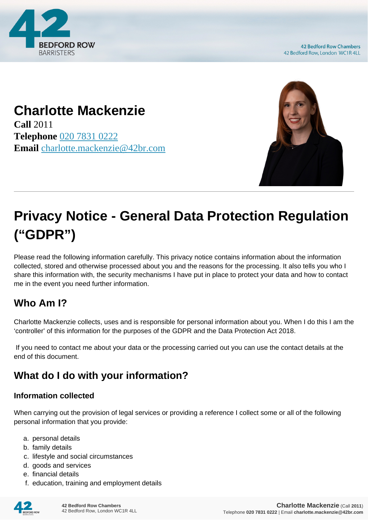

## **Charlotte Mackenzie**

**Call** 2011 **Telephone** [020 7831 0222](https://pdf.codeshore.co/_42br/tel:020 7831 0222) **Email** [charlotte.mackenzie@42br.com](mailto:charlotte.mackenzie@42br.com)



# **Privacy Notice - General Data Protection Regulation ("GDPR")**

Please read the following information carefully. This privacy notice contains information about the information collected, stored and otherwise processed about you and the reasons for the processing. It also tells you who I share this information with, the security mechanisms I have put in place to protect your data and how to contact me in the event you need further information.

### **Who Am I?**

Charlotte Mackenzie collects, uses and is responsible for personal information about you. When I do this I am the 'controller' of this information for the purposes of the GDPR and the Data Protection Act 2018.

 If you need to contact me about your data or the processing carried out you can use the contact details at the end of this document.

### **What do I do with your information?**

#### **Information collected**

When carrying out the provision of legal services or providing a reference I collect some or all of the following personal information that you provide:

- a. personal details
- b. family details
- c. lifestyle and social circumstances
- d. goods and services
- e. financial details
- f. education, training and employment details

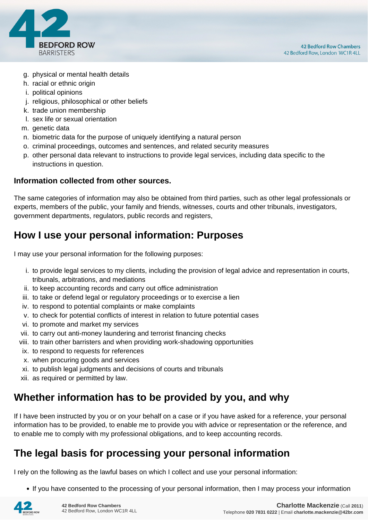

- g. physical or mental health details
- h. racial or ethnic origin
- i. political opinions
- j. religious, philosophical or other beliefs
- k. trade union membership
- l. sex life or sexual orientation
- m. genetic data
- n. biometric data for the purpose of uniquely identifying a natural person
- o. criminal proceedings, outcomes and sentences, and related security measures
- p. other personal data relevant to instructions to provide legal services, including data specific to the instructions in question.

#### **Information collected from other sources.**

The same categories of information may also be obtained from third parties, such as other legal professionals or experts, members of the public, your family and friends, witnesses, courts and other tribunals, investigators, government departments, regulators, public records and registers,

#### **How I use your personal information: Purposes**

I may use your personal information for the following purposes:

- i. to provide legal services to my clients, including the provision of legal advice and representation in courts, tribunals, arbitrations, and mediations
- ii. to keep accounting records and carry out office administration
- iii. to take or defend legal or regulatory proceedings or to exercise a lien
- iv. to respond to potential complaints or make complaints
- v. to check for potential conflicts of interest in relation to future potential cases
- vi. to promote and market my services
- vii. to carry out anti-money laundering and terrorist financing checks
- viii. to train other barristers and when providing work-shadowing opportunities
- ix. to respond to requests for references
- x. when procuring goods and services
- xi. to publish legal judgments and decisions of courts and tribunals
- xii. as required or permitted by law.

#### **Whether information has to be provided by you, and why**

If I have been instructed by you or on your behalf on a case or if you have asked for a reference, your personal information has to be provided, to enable me to provide you with advice or representation or the reference, and to enable me to comply with my professional obligations, and to keep accounting records.

#### **The legal basis for processing your personal information**

I rely on the following as the lawful bases on which I collect and use your personal information:

• If you have consented to the processing of your personal information, then I may process your information

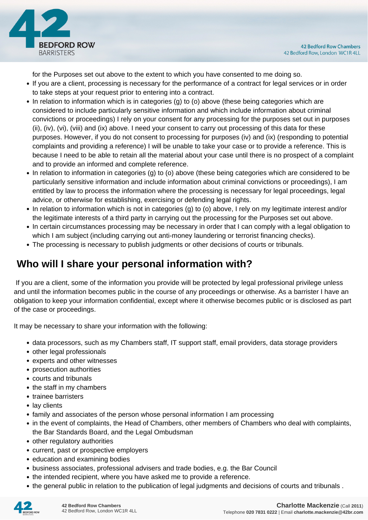

for the Purposes set out above to the extent to which you have consented to me doing so.

- If you are a client, processing is necessary for the performance of a contract for legal services or in order to take steps at your request prior to entering into a contract.
- In relation to information which is in categories (g) to (o) above (these being categories which are considered to include particularly sensitive information and which include information about criminal convictions or proceedings) I rely on your consent for any processing for the purposes set out in purposes (ii), (iv), (vi), (viii) and (ix) above. I need your consent to carry out processing of this data for these purposes. However, if you do not consent to processing for purposes (iv) and (ix) (responding to potential complaints and providing a reference) I will be unable to take your case or to provide a reference. This is because I need to be able to retain all the material about your case until there is no prospect of a complaint and to provide an informed and complete reference.
- In relation to information in categories (g) to (o) above (these being categories which are considered to be particularly sensitive information and include information about criminal convictions or proceedings), I am entitled by law to process the information where the processing is necessary for legal proceedings, legal advice, or otherwise for establishing, exercising or defending legal rights.
- In relation to information which is not in categories (g) to (o) above, I rely on my legitimate interest and/or the legitimate interests of a third party in carrying out the processing for the Purposes set out above.
- In certain circumstances processing may be necessary in order that I can comply with a legal obligation to which I am subject (including carrying out anti-money laundering or terrorist financing checks).
- The processing is necessary to publish judgments or other decisions of courts or tribunals.

#### **Who will I share your personal information with?**

 If you are a client, some of the information you provide will be protected by legal professional privilege unless and until the information becomes public in the course of any proceedings or otherwise. As a barrister I have an obligation to keep your information confidential, except where it otherwise becomes public or is disclosed as part of the case or proceedings.

It may be necessary to share your information with the following:

- data processors, such as my Chambers staff, IT support staff, email providers, data storage providers
- other legal professionals
- experts and other witnesses
- prosecution authorities
- courts and tribunals
- the staff in my chambers
- trainee barristers
- lay clients
- family and associates of the person whose personal information I am processing
- in the event of complaints, the Head of Chambers, other members of Chambers who deal with complaints, the Bar Standards Board, and the Legal Ombudsman
- other regulatory authorities
- current, past or prospective employers
- education and examining bodies
- business associates, professional advisers and trade bodies, e.g. the Bar Council
- the intended recipient, where you have asked me to provide a reference.
- the general public in relation to the publication of legal judgments and decisions of courts and tribunals .

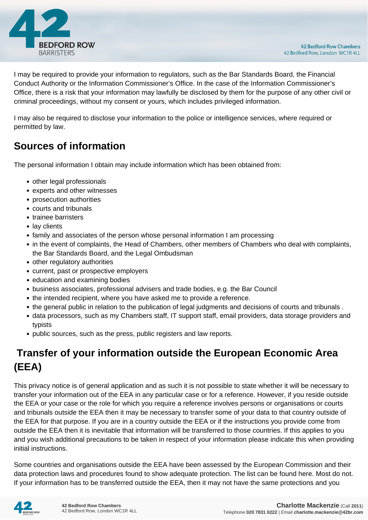

I may be required to provide your information to regulators, such as the Bar Standards Board, the Financial Conduct Authority or the Information Commissioner's Office. In the case of the Information Commissioner's Office, there is a risk that your information may lawfully be disclosed by them for the purpose of any other civil or criminal proceedings, without my consent or yours, which includes privileged information.

I may also be required to disclose your information to the police or intelligence services, where required or permitted by law.

#### **Sources of information**

The personal information I obtain may include information which has been obtained from:

- other legal professionals
- experts and other witnesses
- prosecution authorities
- courts and tribunals
- trainee barristers
- lay clients
- family and associates of the person whose personal information I am processing
- in the event of complaints, the Head of Chambers, other members of Chambers who deal with complaints, the Bar Standards Board, and the Legal Ombudsman
- other regulatory authorities
- current, past or prospective employers
- education and examining bodies
- business associates, professional advisers and trade bodies, e.g. the Bar Council
- the intended recipient, where you have asked me to provide a reference.
- the general public in relation to the publication of legal judgments and decisions of courts and tribunals .
- data processors, such as my Chambers staff, IT support staff, email providers, data storage providers and typists
- public sources, such as the press, public registers and law reports.

### **Transfer of your information outside the European Economic Area (EEA)**

This privacy notice is of general application and as such it is not possible to state whether it will be necessary to transfer your information out of the EEA in any particular case or for a reference. However, if you reside outside the EEA or your case or the role for which you require a reference involves persons or organisations or courts and tribunals outside the EEA then it may be necessary to transfer some of your data to that country outside of the EEA for that purpose. If you are in a country outside the EEA or if the instructions you provide come from outside the EEA then it is inevitable that information will be transferred to those countries. If this applies to you and you wish additional precautions to be taken in respect of your information please indicate this when providing initial instructions.

Some countries and organisations outside the EEA have been assessed by the European Commission and their data protection laws and procedures found to show adequate protection. The list can be found here. Most do not. If your information has to be transferred outside the EEA, then it may not have the same protections and you

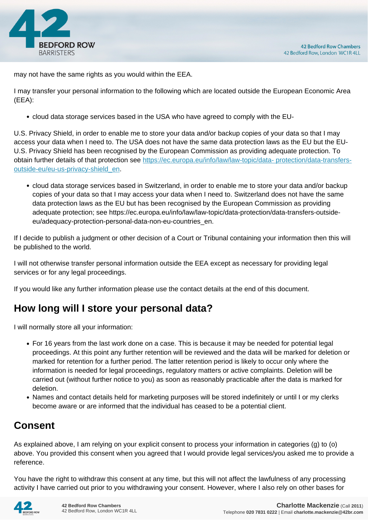

may not have the same rights as you would within the EEA.

I may transfer your personal information to the following which are located outside the European Economic Area (EEA):

cloud data storage services based in the USA who have agreed to comply with the EU-

U.S. Privacy Shield, in order to enable me to store your data and/or backup copies of your data so that I may access your data when I need to. The USA does not have the same data protection laws as the EU but the EU-U.S. Privacy Shield has been recognised by the European Commission as providing adequate protection. To obtain further details of that protection see [https://ec.europa.eu/info/law/law-topic/data- protection/data-transfers](https://ec.europa.eu/info/law/law-topic/data- protection/data-transfers-outside-eu/eu-us-privacy-shield_en)[outside-eu/eu-us-privacy-shield\\_en.](https://ec.europa.eu/info/law/law-topic/data- protection/data-transfers-outside-eu/eu-us-privacy-shield_en)

cloud data storage services based in Switzerland, in order to enable me to store your data and/or backup copies of your data so that I may access your data when I need to. Switzerland does not have the same data protection laws as the EU but has been recognised by the European Commission as providing adequate protection; see https://ec.europa.eu/info/law/law-topic/data-protection/data-transfers-outsideeu/adequacy-protection-personal-data-non-eu-countries\_en.

If I decide to publish a judgment or other decision of a Court or Tribunal containing your information then this will be published to the world.

I will not otherwise transfer personal information outside the EEA except as necessary for providing legal services or for any legal proceedings.

If you would like any further information please use the contact details at the end of this document.

#### **How long will I store your personal data?**

I will normally store all your information:

- For 16 years from the last work done on a case. This is because it may be needed for potential legal proceedings. At this point any further retention will be reviewed and the data will be marked for deletion or marked for retention for a further period. The latter retention period is likely to occur only where the information is needed for legal proceedings, regulatory matters or active complaints. Deletion will be carried out (without further notice to you) as soon as reasonably practicable after the data is marked for deletion.
- Names and contact details held for marketing purposes will be stored indefinitely or until I or my clerks become aware or are informed that the individual has ceased to be a potential client.

#### **Consent**

As explained above, I am relying on your explicit consent to process your information in categories (g) to (o) above. You provided this consent when you agreed that I would provide legal services/you asked me to provide a reference.

You have the right to withdraw this consent at any time, but this will not affect the lawfulness of any processing activity I have carried out prior to you withdrawing your consent. However, where I also rely on other bases for

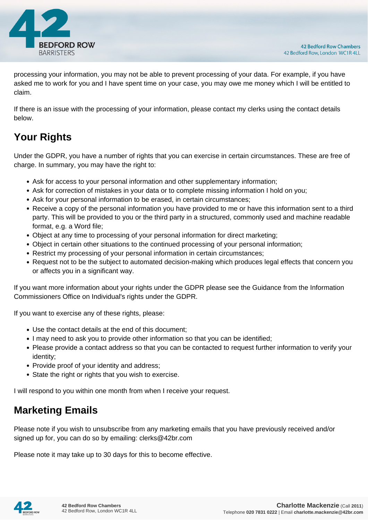

processing your information, you may not be able to prevent processing of your data. For example, if you have asked me to work for you and I have spent time on your case, you may owe me money which I will be entitled to claim.

If there is an issue with the processing of your information, please contact my clerks using the contact details below.

## **Your Rights**

Under the GDPR, you have a number of rights that you can exercise in certain circumstances. These are free of charge. In summary, you may have the right to:

- Ask for access to your personal information and other supplementary information;
- Ask for correction of mistakes in your data or to complete missing information I hold on you;
- Ask for your personal information to be erased, in certain circumstances;
- Receive a copy of the personal information you have provided to me or have this information sent to a third party. This will be provided to you or the third party in a structured, commonly used and machine readable format, e.g. a Word file;
- Object at any time to processing of your personal information for direct marketing;
- Object in certain other situations to the continued processing of your personal information;
- Restrict my processing of your personal information in certain circumstances;
- Request not to be the subject to automated decision-making which produces legal effects that concern you or affects you in a significant way.

If you want more information about your rights under the GDPR please see the Guidance from the Information Commissioners Office on Individual's rights under the GDPR.

If you want to exercise any of these rights, please:

- Use the contact details at the end of this document;
- I may need to ask you to provide other information so that you can be identified;
- Please provide a contact address so that you can be contacted to request further information to verify your identity;
- Provide proof of your identity and address;
- State the right or rights that you wish to exercise.

I will respond to you within one month from when I receive your request.

#### **Marketing Emails**

Please note if you wish to unsubscribe from any marketing emails that you have previously received and/or signed up for, you can do so by emailing: clerks@42br.com

Please note it may take up to 30 days for this to become effective.